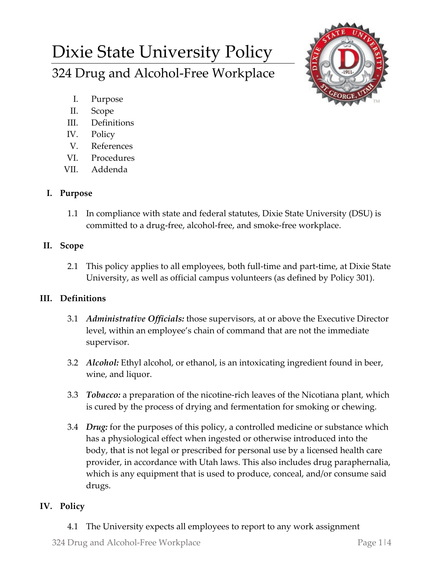# Dixie State University Policy 324 Drug and Alcohol-Free Workplace



- I. Purpose
- II. Scope
- III. Definitions
- IV. Policy
- V. References
- VI. Procedures
- VII. Addenda

## **I. Purpose**

1.1 In compliance with state and federal statutes, Dixie State University (DSU) is committed to a drug-free, alcohol-free, and smoke-free workplace.

## **II. Scope**

2.1 This policy applies to all employees, both full-time and part-time, at Dixie State University, as well as official campus volunteers (as defined by Policy 301).

## **III. Definitions**

- 3.1 *Administrative Officials:* those supervisors, at or above the Executive Director level, within an employee's chain of command that are not the immediate supervisor.
- 3.2 *Alcohol:* Ethyl alcohol, or ethanol, is an intoxicating ingredient found in beer, wine, and liquor.
- 3.3 *Tobacco:* a preparation of the nicotine-rich leaves of the Nicotiana plant, which is cured by the process of drying and fermentation for smoking or chewing.
- 3.4 *Drug:* for the purposes of this policy, a controlled medicine or substance which has a physiological effect when ingested or otherwise introduced into the body, that is not legal or prescribed for personal use by a licensed health care provider, in accordance with Utah laws. This also includes drug paraphernalia, which is any equipment that is used to produce, conceal, and/or consume said drugs.

# **IV. Policy**

4.1 The University expects all employees to report to any work assignment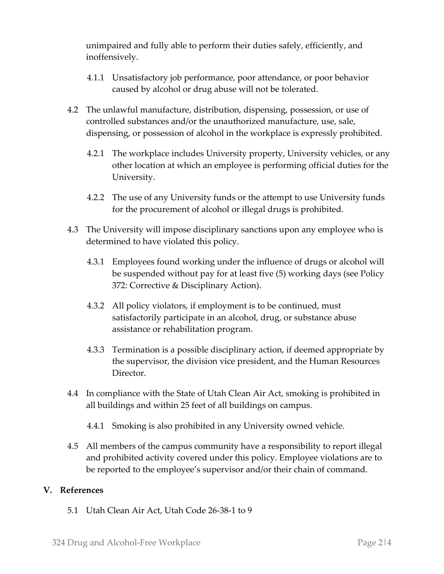unimpaired and fully able to perform their duties safely, efficiently, and inoffensively.

- 4.1.1 Unsatisfactory job performance, poor attendance, or poor behavior caused by alcohol or drug abuse will not be tolerated.
- 4.2 The unlawful manufacture, distribution, dispensing, possession, or use of controlled substances and/or the unauthorized manufacture, use, sale, dispensing, or possession of alcohol in the workplace is expressly prohibited.
	- 4.2.1 The workplace includes University property, University vehicles, or any other location at which an employee is performing official duties for the University.
	- 4.2.2 The use of any University funds or the attempt to use University funds for the procurement of alcohol or illegal drugs is prohibited.
- 4.3 The University will impose disciplinary sanctions upon any employee who is determined to have violated this policy.
	- 4.3.1 Employees found working under the influence of drugs or alcohol will be suspended without pay for at least five (5) working days (see Policy 372: Corrective & Disciplinary Action).
	- 4.3.2 All policy violators, if employment is to be continued, must satisfactorily participate in an alcohol, drug, or substance abuse assistance or rehabilitation program.
	- 4.3.3 Termination is a possible disciplinary action, if deemed appropriate by the supervisor, the division vice president, and the Human Resources Director.
- 4.4 In compliance with the State of Utah Clean Air Act, smoking is prohibited in all buildings and within 25 feet of all buildings on campus.
	- 4.4.1 Smoking is also prohibited in any University owned vehicle.
- 4.5 All members of the campus community have a responsibility to report illegal and prohibited activity covered under this policy. Employee violations are to be reported to the employee's supervisor and/or their chain of command.

### **V. References**

5.1 Utah Clean Air Act, Utah Code 26-38-1 to 9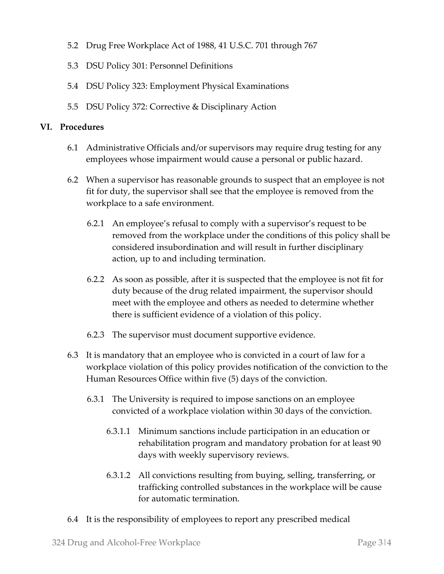- 5.2 Drug Free Workplace Act of 1988, 41 U.S.C. 701 through 767
- 5.3 DSU Policy 301: Personnel Definitions
- 5.4 DSU Policy 323: Employment Physical Examinations
- 5.5 DSU Policy 372: Corrective & Disciplinary Action

#### **VI. Procedures**

- 6.1 Administrative Officials and/or supervisors may require drug testing for any employees whose impairment would cause a personal or public hazard.
- 6.2 When a supervisor has reasonable grounds to suspect that an employee is not fit for duty, the supervisor shall see that the employee is removed from the workplace to a safe environment.
	- 6.2.1 An employee's refusal to comply with a supervisor's request to be removed from the workplace under the conditions of this policy shall be considered insubordination and will result in further disciplinary action, up to and including termination.
	- 6.2.2 As soon as possible, after it is suspected that the employee is not fit for duty because of the drug related impairment, the supervisor should meet with the employee and others as needed to determine whether there is sufficient evidence of a violation of this policy.
	- 6.2.3 The supervisor must document supportive evidence.
- 6.3 It is mandatory that an employee who is convicted in a court of law for a workplace violation of this policy provides notification of the conviction to the Human Resources Office within five (5) days of the conviction.
	- 6.3.1 The University is required to impose sanctions on an employee convicted of a workplace violation within 30 days of the conviction.
		- 6.3.1.1 Minimum sanctions include participation in an education or rehabilitation program and mandatory probation for at least 90 days with weekly supervisory reviews.
		- 6.3.1.2 All convictions resulting from buying, selling, transferring, or trafficking controlled substances in the workplace will be cause for automatic termination.
- 6.4 It is the responsibility of employees to report any prescribed medical